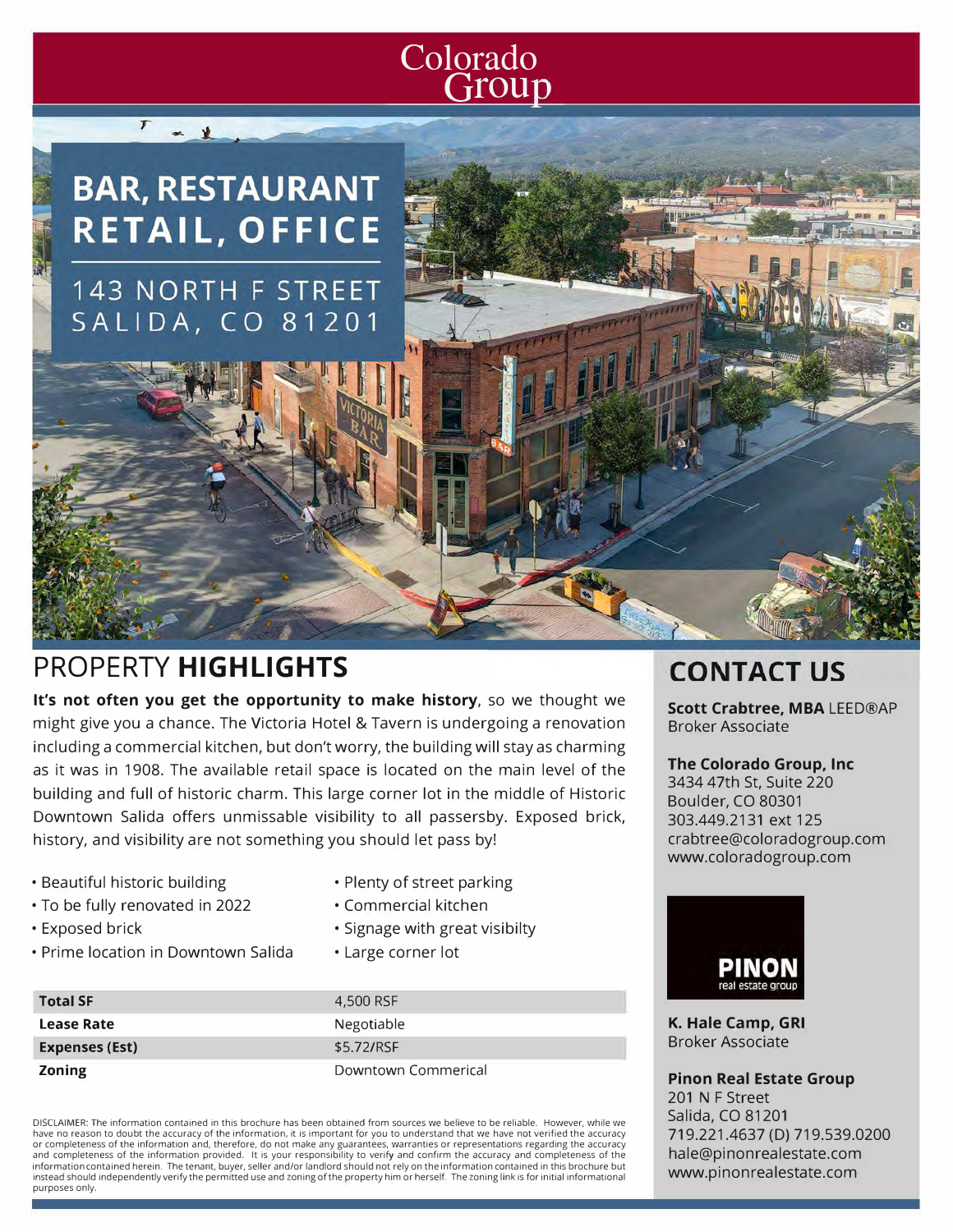### **Colorado**  Group

## **BAR, RESTAURANT** RETAIL, OFFICE **143 NORTH F STREET SALIDA, CO 81201**

 $T = 1$ 

### **PROPERTY HIGHLIGHTS**

**It's not often you get the opportunity to make history,** so we thought we might give you a chance. The Victoria Hotel & Tavern is undergoing a renovation including a commercial kitchen, but don't worry, the building will stay as charming as it was in 1908. The available retail space is located on the main level of the building and full of historic charm. This large corner lot in the middle of Historic Downtown Salida offers unmissable visibility to all passersby. Exposed brick, history, and visibility are not something you should let pass by!

> • Plenty of street parking • Commercial kitchen

• Large corner lot

• Signage with great visibilty

- Beautiful historic building
- To be fully renovated in 2022
- Exposed brick
- Prime location in Downtown Salida

| <b>Total SF</b>       | 4,500 RSF           |
|-----------------------|---------------------|
| Lease Rate            | Negotiable          |
| <b>Expenses (Est)</b> | \$5.72/RSF          |
| <b>Zoning</b>         | Downtown Commerical |

DISCLAIMER: The information contained in this brochure has been obtained from sources we believe to be reliable. However, while we have no reason to doubt the accuracy of the information, it is important for you to understand that we have not verified the accuracy or completeness of the information and, therefore, do not make any guarantees, warranties or representations regarding the accuracy<br>and completeness of the information provided. It is your responsibility to verify and conf information contained herein. The tenant, buyer, seller and/or landlord should not rely on the information contained in this brochure but instead should independently verify the permitted use and zoning of the property him or herself. The zoning link is for initial informational purposes only.

## **CONTACT US**

**Scott Crabtree, MBA LEED®AP Broker Associate** 

#### **The Colorado Group, Inc**

3434 47th St, Suite 220 Boulder, CO 80301 303.449.2131 ext 125 crabtree@coloradogroup.com www.coloradogroup.com



**K. Hale Camp, GRI** Broker Associate

**Pinon Real Estate Group**  201 N F Street Salida, CO 81201 719.221.4637 (D) 719.539.0200 hale@pinonrealestate.com www.pinonrealestate.com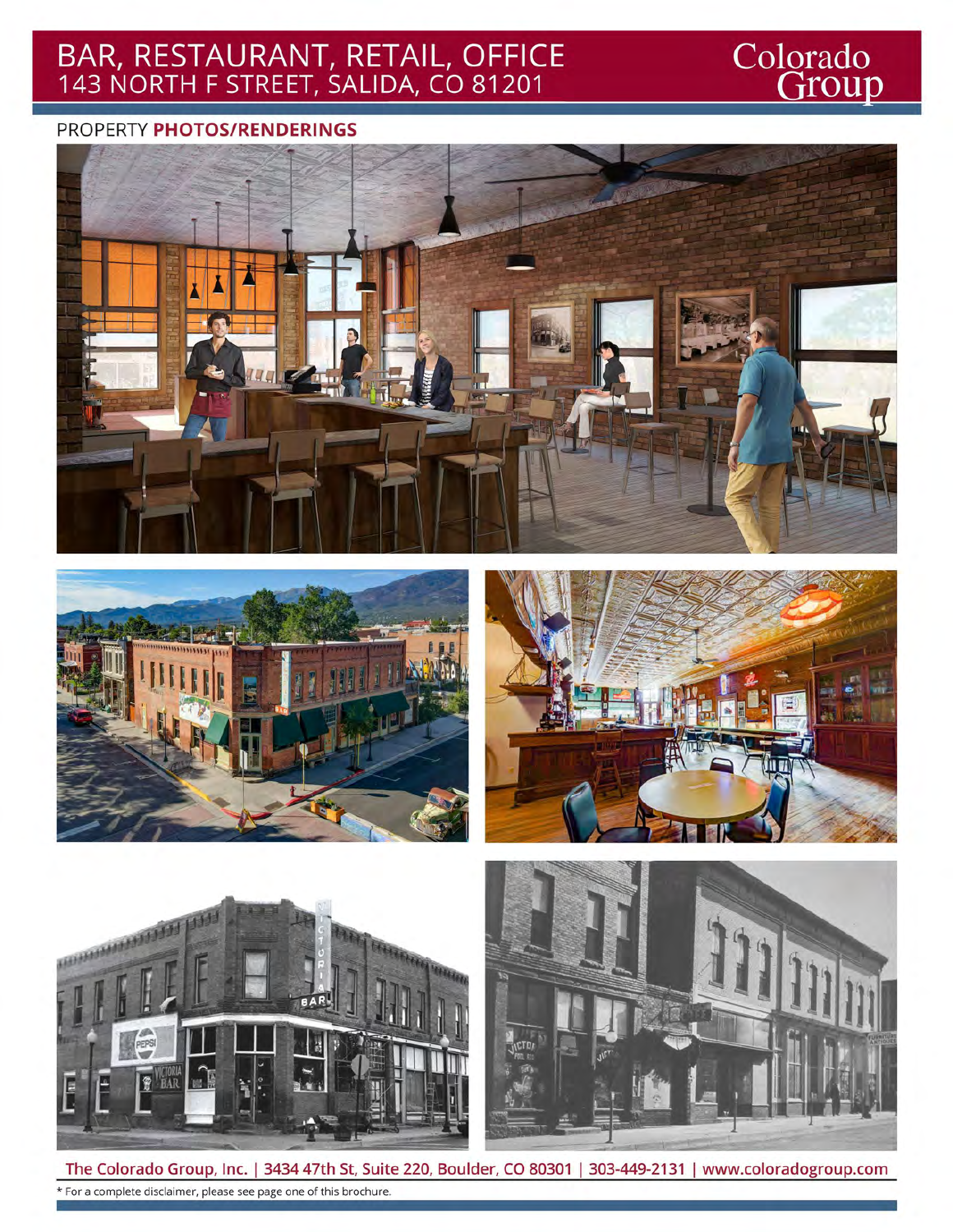# BAR, RESTAURANT, RETAIL, OFFICE<br>143 NORTH F STREET, SALIDA, CO 81201

# Colorado<br>Group

#### PROPERTY PHOTOS/RENDERINGS











The Colorado Group, Inc. | 3434 47th St, Suite 220, Boulder, CO 80301 | 303-449-2131 | www.coloradogroup.com \* For a complete disclaimer, please see page one of this brochure.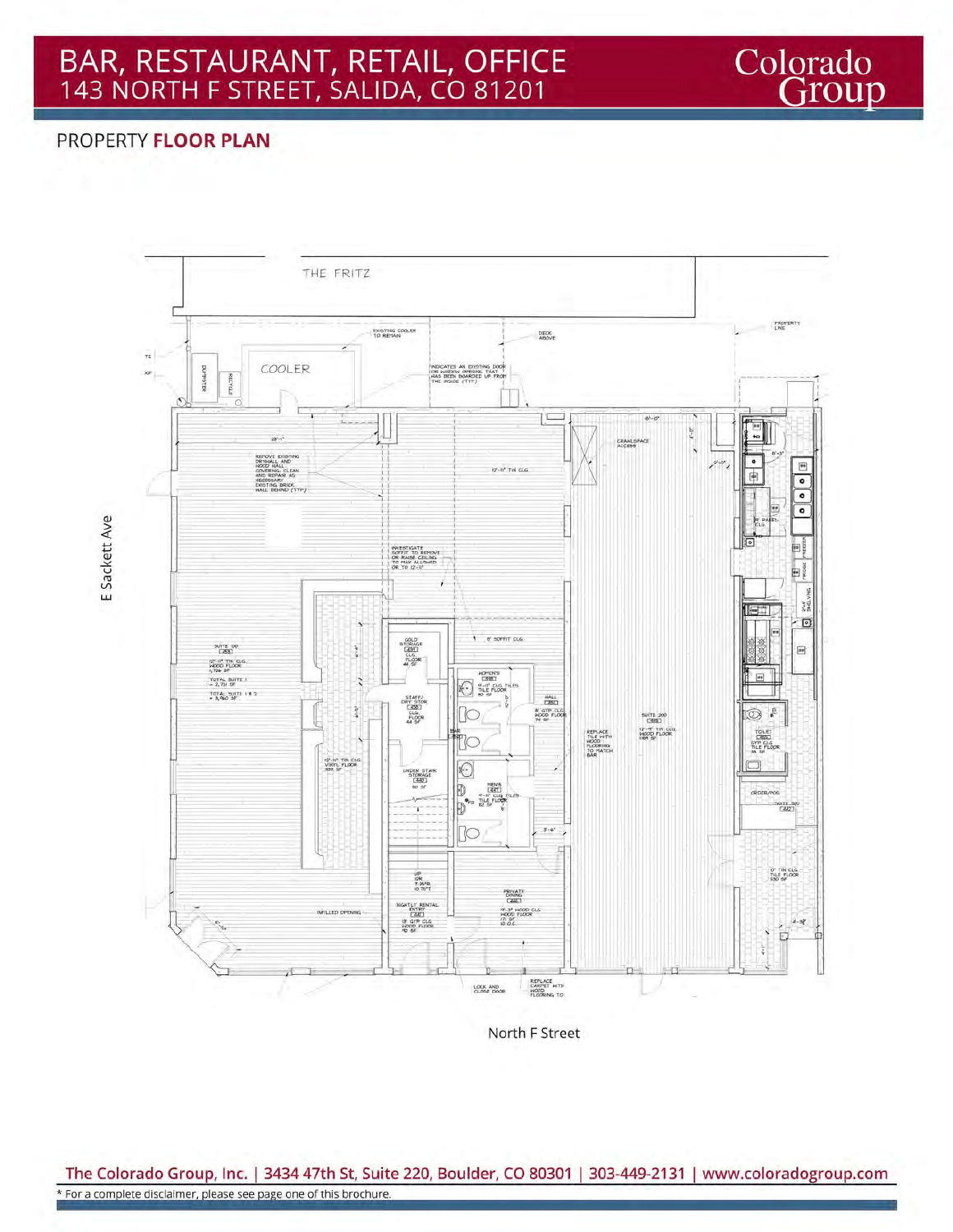### **PROPERTY FLOOR PLAN**



Colorado<br>Group

North F Street

The Colorado Group, Inc. | 3434 47th St, Suite 220, Boulder, CO 80301 | 303-449-2131 | www.coloradogroup.com \* For a complete disclaimer, please see page one of this brochure.